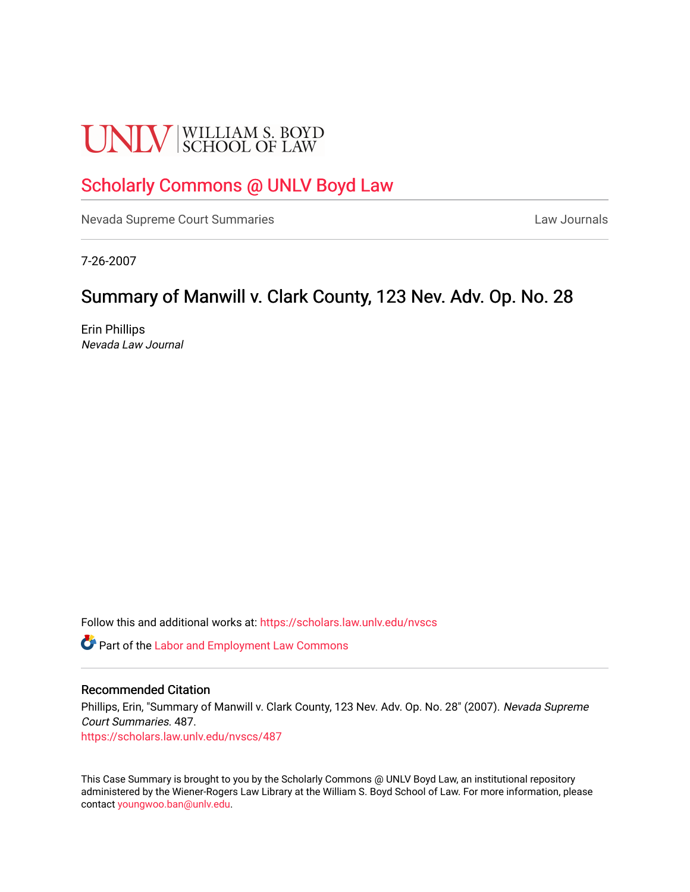# **UNLV** SCHOOL OF LAW

## [Scholarly Commons @ UNLV Boyd Law](https://scholars.law.unlv.edu/)

[Nevada Supreme Court Summaries](https://scholars.law.unlv.edu/nvscs) **Law Journals** Law Journals

7-26-2007

## Summary of Manwill v. Clark County, 123 Nev. Adv. Op. No. 28

Erin Phillips Nevada Law Journal

Follow this and additional works at: [https://scholars.law.unlv.edu/nvscs](https://scholars.law.unlv.edu/nvscs?utm_source=scholars.law.unlv.edu%2Fnvscs%2F487&utm_medium=PDF&utm_campaign=PDFCoverPages)

**C** Part of the [Labor and Employment Law Commons](http://network.bepress.com/hgg/discipline/909?utm_source=scholars.law.unlv.edu%2Fnvscs%2F487&utm_medium=PDF&utm_campaign=PDFCoverPages)

#### Recommended Citation

Phillips, Erin, "Summary of Manwill v. Clark County, 123 Nev. Adv. Op. No. 28" (2007). Nevada Supreme Court Summaries. 487.

[https://scholars.law.unlv.edu/nvscs/487](https://scholars.law.unlv.edu/nvscs/487?utm_source=scholars.law.unlv.edu%2Fnvscs%2F487&utm_medium=PDF&utm_campaign=PDFCoverPages)

This Case Summary is brought to you by the Scholarly Commons @ UNLV Boyd Law, an institutional repository administered by the Wiener-Rogers Law Library at the William S. Boyd School of Law. For more information, please contact [youngwoo.ban@unlv.edu](mailto:youngwoo.ban@unlv.edu).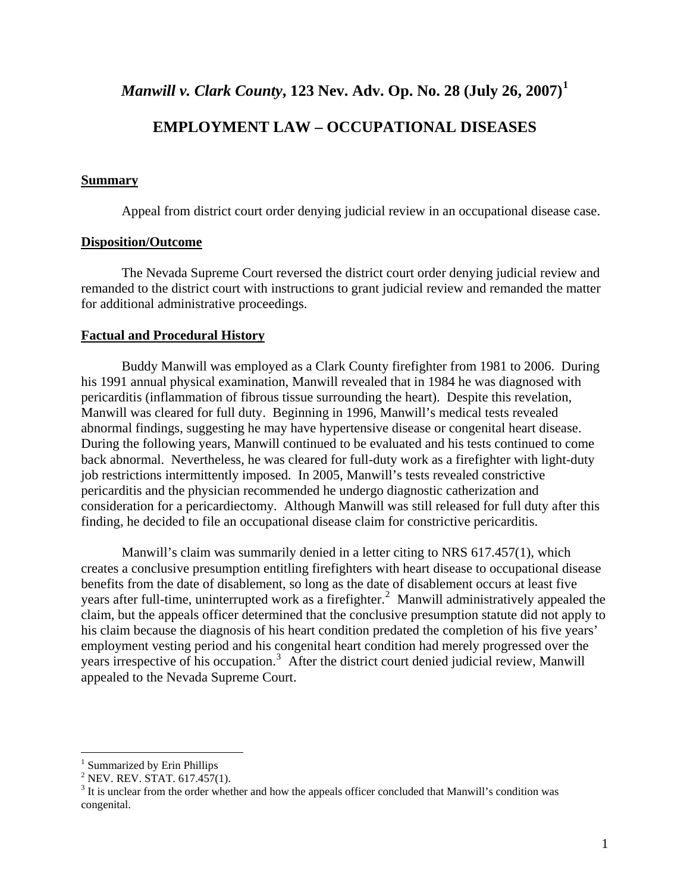*Manwill v. Clark County***, 123 Nev. Adv. Op. No. 28 (July 26, 2007)[1](#page-1-0)**

### **EMPLOYMENT LAW – OCCUPATIONAL DISEASES**

#### **Summary**

Appeal from district court order denying judicial review in an occupational disease case.

#### **Disposition/Outcome**

The Nevada Supreme Court reversed the district court order denying judicial review and remanded to the district court with instructions to grant judicial review and remanded the matter for additional administrative proceedings.

#### **Factual and Procedural History**

 Buddy Manwill was employed as a Clark County firefighter from 1981 to 2006. During his 1991 annual physical examination, Manwill revealed that in 1984 he was diagnosed with pericarditis (inflammation of fibrous tissue surrounding the heart). Despite this revelation, Manwill was cleared for full duty. Beginning in 1996, Manwill's medical tests revealed abnormal findings, suggesting he may have hypertensive disease or congenital heart disease. During the following years, Manwill continued to be evaluated and his tests continued to come back abnormal. Nevertheless, he was cleared for full-duty work as a firefighter with light-duty job restrictions intermittently imposed. In 2005, Manwill's tests revealed constrictive pericarditis and the physician recommended he undergo diagnostic catherization and consideration for a pericardiectomy. Although Manwill was still released for full duty after this finding, he decided to file an occupational disease claim for constrictive pericarditis.

 Manwill's claim was summarily denied in a letter citing to NRS 617.457(1), which creates a conclusive presumption entitling firefighters with heart disease to occupational disease benefits from the date of disablement, so long as the date of disablement occurs at least five years after full-time, uninterrupted work as a firefighter.<sup>[2](#page-1-1)</sup> Manwill administratively appealed the claim, but the appeals officer determined that the conclusive presumption statute did not apply to his claim because the diagnosis of his heart condition predated the completion of his five years' employment vesting period and his congenital heart condition had merely progressed over the years irrespective of his occupation.<sup>[3](#page-1-2)</sup> After the district court denied judicial review, Manwill appealed to the Nevada Supreme Court.

 $\overline{a}$ 

<span id="page-1-0"></span><sup>&</sup>lt;sup>1</sup> Summarized by Erin Phillips

<span id="page-1-1"></span> $2$  NEV. REV. STAT. 617.457(1).

<span id="page-1-2"></span> $3$  It is unclear from the order whether and how the appeals officer concluded that Manwill's condition was congenital.